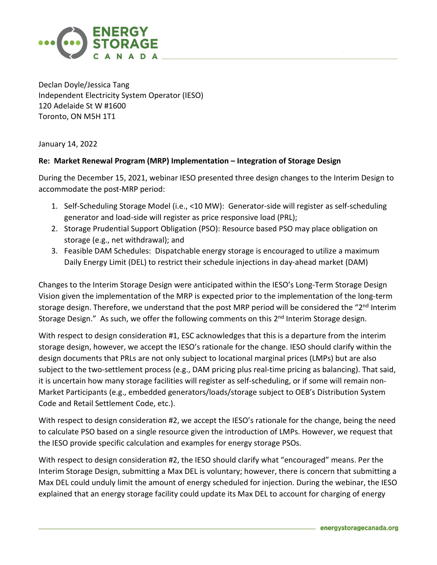

Declan Doyle/Jessica Tang Independent Electricity System Operator (IESO) 120 Adelaide St W #1600 Toronto, ON M5H 1T1

January 14, 2022

## **Re: Market Renewal Program (MRP) Implementation – Integration of Storage Design**

During the December 15, 2021, webinar IESO presented three design changes to the Interim Design to accommodate the post-MRP period:

- 1. Self-Scheduling Storage Model (i.e., <10 MW): Generator-side will register as self-scheduling generator and load-side will register as price responsive load (PRL);
- 2. Storage Prudential Support Obligation (PSO): Resource based PSO may place obligation on storage (e.g., net withdrawal); and
- 3. Feasible DAM Schedules: Dispatchable energy storage is encouraged to utilize a maximum Daily Energy Limit (DEL) to restrict their schedule injections in day-ahead market (DAM)

Changes to the Interim Storage Design were anticipated within the IESO's Long-Term Storage Design Vision given the implementation of the MRP is expected prior to the implementation of the long-term storage design. Therefore, we understand that the post MRP period will be considered the "2<sup>nd</sup> Interim Storage Design." As such, we offer the following comments on this  $2<sup>nd</sup>$  Interim Storage design.

With respect to design consideration #1, ESC acknowledges that this is a departure from the interim storage design, however, we accept the IESO's rationale for the change. IESO should clarify within the design documents that PRLs are not only subject to locational marginal prices (LMPs) but are also subject to the two-settlement process (e.g., DAM pricing plus real-time pricing as balancing). That said, it is uncertain how many storage facilities will register as self-scheduling, or if some will remain non-Market Participants (e.g., embedded generators/loads/storage subject to OEB's Distribution System Code and Retail Settlement Code, etc.).

With respect to design consideration #2, we accept the IESO's rationale for the change, being the need to calculate PSO based on a single resource given the introduction of LMPs. However, we request that the IESO provide specific calculation and examples for energy storage PSOs.

With respect to design consideration #2, the IESO should clarify what "encouraged" means. Per the Interim Storage Design, submitting a Max DEL is voluntary; however, there is concern that submitting a Max DEL could unduly limit the amount of energy scheduled for injection. During the webinar, the IESO explained that an energy storage facility could update its Max DEL to account for charging of energy